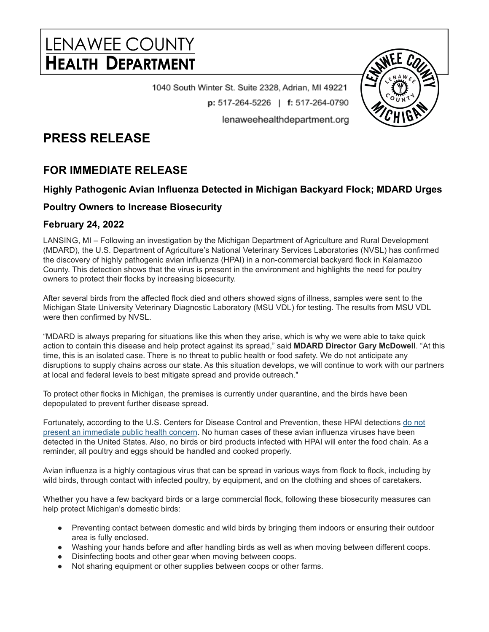# LENAWEE COUNTY **HEALTH DEPARTMENT**

1040 South Winter St. Suite 2328, Adrian, MI 49221  $p: 517-264-5226$  | f: 517-264-0790 lenaweehealthdepartment.org

## **PRESS RELEASE**

### **FOR IMMEDIATE RELEASE**

#### **Highly Pathogenic Avian Influenza Detected in Michigan Backyard Flock; MDARD Urges**

#### **Poultry Owners to Increase Biosecurity**

#### **February 24, 2022**

LANSING, MI – Following an investigation by the Michigan Department of Agriculture and Rural Development (MDARD), the U.S. Department of Agriculture's National Veterinary Services Laboratories (NVSL) has confirmed the discovery of highly pathogenic avian influenza (HPAI) in a non-commercial backyard flock in Kalamazoo County. This detection shows that the virus is present in the environment and highlights the need for poultry owners to protect their flocks by increasing biosecurity.

After several birds from the affected flock died and others showed signs of illness, samples were sent to the Michigan State University Veterinary Diagnostic Laboratory (MSU VDL) for testing. The results from MSU VDL were then confirmed by NVSL.

"MDARD is always preparing for situations like this when they arise, which is why we were able to take quick action to contain this disease and help protect against its spread," said **MDARD Director Gary McDowell**. "At this time, this is an isolated case. There is no threat to public health or food safety. We do not anticipate any disruptions to supply chains across our state. As this situation develops, we will continue to work with our partners at local and federal levels to best mitigate spread and provide outreach."

To protect other flocks in Michigan, the premises is currently under quarantine, and the birds have been depopulated to prevent further disease spread.

Fortunately, according to the U.S. Centers for Disease Control and Prevention, these HPAI detections do [not](https://www.cdc.gov/flu/avianflu/spotlights/2021-2022/bird-flu-poses-low-risk-public.htm) present an [immediate](https://www.cdc.gov/flu/avianflu/spotlights/2021-2022/bird-flu-poses-low-risk-public.htm) public health concern. No human cases of these avian influenza viruses have been detected in the United States. Also, no birds or bird products infected with HPAI will enter the food chain. As a reminder, all poultry and eggs should be handled and cooked properly.

Avian influenza is a highly contagious virus that can be spread in various ways from flock to flock, including by wild birds, through contact with infected poultry, by equipment, and on the clothing and shoes of caretakers.

Whether you have a few backyard birds or a large commercial flock, following these biosecurity measures can help protect Michigan's domestic birds:

- Preventing contact between domestic and wild birds by bringing them indoors or ensuring their outdoor area is fully enclosed.
- Washing your hands before and after handling birds as well as when moving between different coops.
- Disinfecting boots and other gear when moving between coops.
- Not sharing equipment or other supplies between coops or other farms.